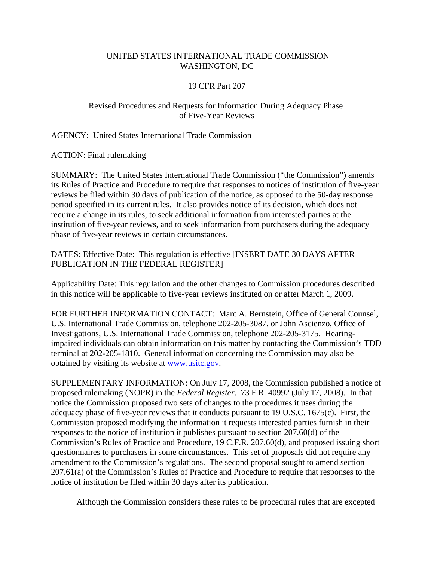## UNITED STATES INTERNATIONAL TRADE COMMISSION WASHINGTON, DC

# 19 CFR Part 207

# Revised Procedures and Requests for Information During Adequacy Phase of Five-Year Reviews

AGENCY: United States International Trade Commission

ACTION: Final rulemaking

SUMMARY: The United States International Trade Commission ("the Commission") amends its Rules of Practice and Procedure to require that responses to notices of institution of five-year reviews be filed within 30 days of publication of the notice, as opposed to the 50-day response period specified in its current rules. It also provides notice of its decision, which does not require a change in its rules, to seek additional information from interested parties at the institution of five-year reviews, and to seek information from purchasers during the adequacy phase of five-year reviews in certain circumstances.

DATES: Effective Date: This regulation is effective [INSERT DATE 30 DAYS AFTER PUBLICATION IN THE FEDERAL REGISTER]

Applicability Date: This regulation and the other changes to Commission procedures described in this notice will be applicable to five-year reviews instituted on or after March 1, 2009.

FOR FURTHER INFORMATION CONTACT: Marc A. Bernstein, Office of General Counsel, U.S. International Trade Commission, telephone 202-205-3087, or John Ascienzo, Office of Investigations, U.S. International Trade Commission, telephone 202-205-3175. Hearingimpaired individuals can obtain information on this matter by contacting the Commission's TDD terminal at 202-205-1810. General information concerning the Commission may also be obtained by visiting its website at www.usitc.gov.

SUPPLEMENTARY INFORMATION: On July 17, 2008, the Commission published a notice of proposed rulemaking (NOPR) in the *Federal Register*. 73 F.R. 40992 (July 17, 2008). In that notice the Commission proposed two sets of changes to the procedures it uses during the adequacy phase of five-year reviews that it conducts pursuant to 19 U.S.C. 1675(c). First, the Commission proposed modifying the information it requests interested parties furnish in their responses to the notice of institution it publishes pursuant to section 207.60(d) of the Commission's Rules of Practice and Procedure, 19 C.F.R. 207.60(d), and proposed issuing short questionnaires to purchasers in some circumstances. This set of proposals did not require any amendment to the Commission's regulations. The second proposal sought to amend section 207.61(a) of the Commission's Rules of Practice and Procedure to require that responses to the notice of institution be filed within 30 days after its publication.

Although the Commission considers these rules to be procedural rules that are excepted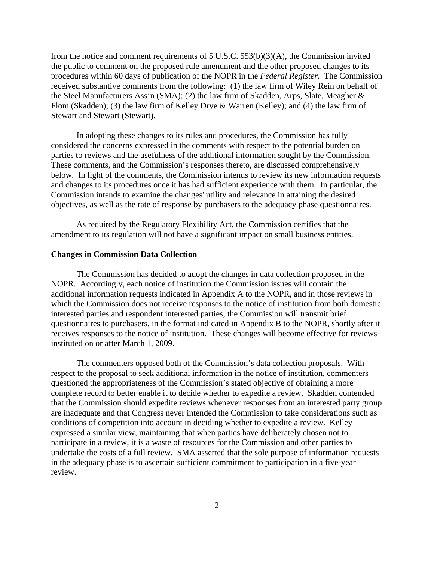from the notice and comment requirements of 5 U.S.C. 553(b)(3)(A), the Commission invited the public to comment on the proposed rule amendment and the other proposed changes to its procedures within 60 days of publication of the NOPR in the *Federal Register*. The Commission received substantive comments from the following: (1) the law firm of Wiley Rein on behalf of the Steel Manufacturers Ass'n (SMA); (2) the law firm of Skadden, Arps, Slate, Meagher & Flom (Skadden); (3) the law firm of Kelley Drye & Warren (Kelley); and (4) the law firm of Stewart and Stewart (Stewart).

In adopting these changes to its rules and procedures, the Commission has fully considered the concerns expressed in the comments with respect to the potential burden on parties to reviews and the usefulness of the additional information sought by the Commission. These comments, and the Commission's responses thereto, are discussed comprehensively below. In light of the comments, the Commission intends to review its new information requests and changes to its procedures once it has had sufficient experience with them. In particular, the Commission intends to examine the changes' utility and relevance in attaining the desired objectives, as well as the rate of response by purchasers to the adequacy phase questionnaires.

As required by the Regulatory Flexibility Act, the Commission certifies that the amendment to its regulation will not have a significant impact on small business entities.

#### **Changes in Commission Data Collection**

The Commission has decided to adopt the changes in data collection proposed in the NOPR. Accordingly, each notice of institution the Commission issues will contain the additional information requests indicated in Appendix A to the NOPR, and in those reviews in which the Commission does not receive responses to the notice of institution from both domestic interested parties and respondent interested parties, the Commission will transmit brief questionnaires to purchasers, in the format indicated in Appendix B to the NOPR, shortly after it receives responses to the notice of institution. These changes will become effective for reviews instituted on or after March 1, 2009.

The commenters opposed both of the Commission's data collection proposals. With respect to the proposal to seek additional information in the notice of institution, commenters questioned the appropriateness of the Commission's stated objective of obtaining a more complete record to better enable it to decide whether to expedite a review. Skadden contended that the Commission should expedite reviews whenever responses from an interested party group are inadequate and that Congress never intended the Commission to take considerations such as conditions of competition into account in deciding whether to expedite a review. Kelley expressed a similar view, maintaining that when parties have deliberately chosen not to participate in a review, it is a waste of resources for the Commission and other parties to undertake the costs of a full review. SMA asserted that the sole purpose of information requests in the adequacy phase is to ascertain sufficient commitment to participation in a five-year review.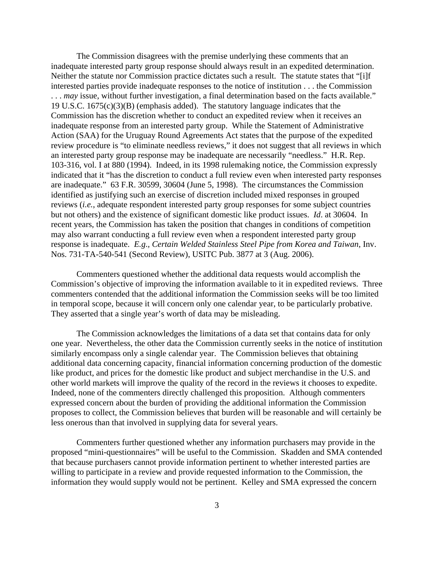The Commission disagrees with the premise underlying these comments that an inadequate interested party group response should always result in an expedited determination. Neither the statute nor Commission practice dictates such a result. The statute states that "[i]f interested parties provide inadequate responses to the notice of institution . . . the Commission . . . *may* issue, without further investigation, a final determination based on the facts available." 19 U.S.C. 1675(c)(3)(B) (emphasis added). The statutory language indicates that the Commission has the discretion whether to conduct an expedited review when it receives an inadequate response from an interested party group. While the Statement of Administrative Action (SAA) for the Uruguay Round Agreements Act states that the purpose of the expedited review procedure is "to eliminate needless reviews," it does not suggest that all reviews in which an interested party group response may be inadequate are necessarily "needless." H.R. Rep. 103-316, vol. I at 880 (1994). Indeed, in its 1998 rulemaking notice, the Commission expressly indicated that it "has the discretion to conduct a full review even when interested party responses are inadequate." 63 F.R. 30599, 30604 (June 5, 1998). The circumstances the Commission identified as justifying such an exercise of discretion included mixed responses in grouped reviews (*i.e.*, adequate respondent interested party group responses for some subject countries but not others) and the existence of significant domestic like product issues. *Id*. at 30604. In recent years, the Commission has taken the position that changes in conditions of competition may also warrant conducting a full review even when a respondent interested party group response is inadequate. *E.g*.*, Certain Welded Stainless Steel Pipe from Korea and Taiwan*, Inv. Nos. 731-TA-540-541 (Second Review), USITC Pub. 3877 at 3 (Aug. 2006).

Commenters questioned whether the additional data requests would accomplish the Commission's objective of improving the information available to it in expedited reviews. Three commenters contended that the additional information the Commission seeks will be too limited in temporal scope, because it will concern only one calendar year, to be particularly probative. They asserted that a single year's worth of data may be misleading.

The Commission acknowledges the limitations of a data set that contains data for only one year. Nevertheless, the other data the Commission currently seeks in the notice of institution similarly encompass only a single calendar year. The Commission believes that obtaining additional data concerning capacity, financial information concerning production of the domestic like product, and prices for the domestic like product and subject merchandise in the U.S. and other world markets will improve the quality of the record in the reviews it chooses to expedite. Indeed, none of the commenters directly challenged this proposition. Although commenters expressed concern about the burden of providing the additional information the Commission proposes to collect, the Commission believes that burden will be reasonable and will certainly be less onerous than that involved in supplying data for several years.

Commenters further questioned whether any information purchasers may provide in the proposed "mini-questionnaires" will be useful to the Commission. Skadden and SMA contended that because purchasers cannot provide information pertinent to whether interested parties are willing to participate in a review and provide requested information to the Commission, the information they would supply would not be pertinent. Kelley and SMA expressed the concern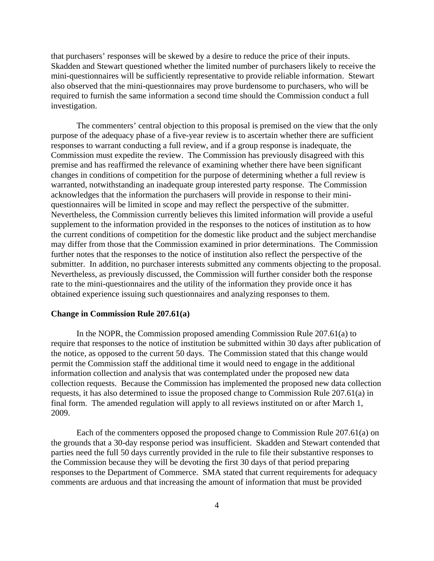that purchasers' responses will be skewed by a desire to reduce the price of their inputs. Skadden and Stewart questioned whether the limited number of purchasers likely to receive the mini-questionnaires will be sufficiently representative to provide reliable information. Stewart also observed that the mini-questionnaires may prove burdensome to purchasers, who will be required to furnish the same information a second time should the Commission conduct a full investigation.

The commenters' central objection to this proposal is premised on the view that the only purpose of the adequacy phase of a five-year review is to ascertain whether there are sufficient responses to warrant conducting a full review, and if a group response is inadequate, the Commission must expedite the review. The Commission has previously disagreed with this premise and has reaffirmed the relevance of examining whether there have been significant changes in conditions of competition for the purpose of determining whether a full review is warranted, notwithstanding an inadequate group interested party response. The Commission acknowledges that the information the purchasers will provide in response to their miniquestionnaires will be limited in scope and may reflect the perspective of the submitter. Nevertheless, the Commission currently believes this limited information will provide a useful supplement to the information provided in the responses to the notices of institution as to how the current conditions of competition for the domestic like product and the subject merchandise may differ from those that the Commission examined in prior determinations. The Commission further notes that the responses to the notice of institution also reflect the perspective of the submitter. In addition, no purchaser interests submitted any comments objecting to the proposal. Nevertheless, as previously discussed, the Commission will further consider both the response rate to the mini-questionnaires and the utility of the information they provide once it has obtained experience issuing such questionnaires and analyzing responses to them.

### **Change in Commission Rule 207.61(a)**

In the NOPR, the Commission proposed amending Commission Rule 207.61(a) to require that responses to the notice of institution be submitted within 30 days after publication of the notice, as opposed to the current 50 days.The Commission stated that this change would permit the Commission staff the additional time it would need to engage in the additional information collection and analysis that was contemplated under the proposed new data collection requests. Because the Commission has implemented the proposed new data collection requests, it has also determined to issue the proposed change to Commission Rule 207.61(a) in final form. The amended regulation will apply to all reviews instituted on or after March 1, 2009.

Each of the commenters opposed the proposed change to Commission Rule 207.61(a) on the grounds that a 30-day response period was insufficient. Skadden and Stewart contended that parties need the full 50 days currently provided in the rule to file their substantive responses to the Commission because they will be devoting the first 30 days of that period preparing responses to the Department of Commerce. SMA stated that current requirements for adequacy comments are arduous and that increasing the amount of information that must be provided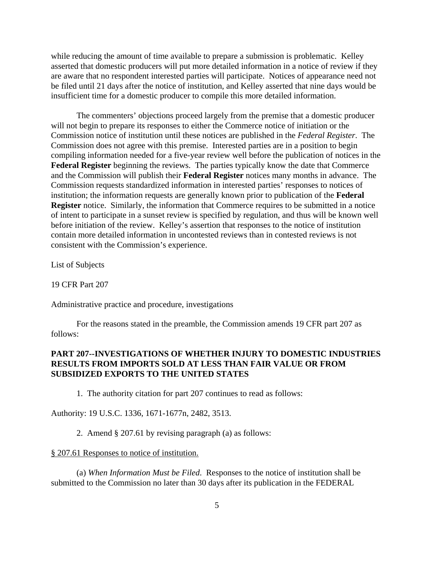while reducing the amount of time available to prepare a submission is problematic. Kelley asserted that domestic producers will put more detailed information in a notice of review if they are aware that no respondent interested parties will participate. Notices of appearance need not be filed until 21 days after the notice of institution, and Kelley asserted that nine days would be insufficient time for a domestic producer to compile this more detailed information.

The commenters' objections proceed largely from the premise that a domestic producer will not begin to prepare its responses to either the Commerce notice of initiation or the Commission notice of institution until these notices are published in the *Federal Register*. The Commission does not agree with this premise. Interested parties are in a position to begin compiling information needed for a five-year review well before the publication of notices in the **Federal Register** beginning the reviews. The parties typically know the date that Commerce and the Commission will publish their **Federal Register** notices many months in advance. The Commission requests standardized information in interested parties' responses to notices of institution; the information requests are generally known prior to publication of the **Federal Register** notice. Similarly, the information that Commerce requires to be submitted in a notice of intent to participate in a sunset review is specified by regulation, and thus will be known well before initiation of the review. Kelley's assertion that responses to the notice of institution contain more detailed information in uncontested reviews than in contested reviews is not consistent with the Commission's experience.

List of Subjects

19 CFR Part 207

Administrative practice and procedure, investigations

For the reasons stated in the preamble, the Commission amends 19 CFR part 207 as follows:

### **PART 207--INVESTIGATIONS OF WHETHER INJURY TO DOMESTIC INDUSTRIES RESULTS FROM IMPORTS SOLD AT LESS THAN FAIR VALUE OR FROM SUBSIDIZED EXPORTS TO THE UNITED STATES**

1. The authority citation for part 207 continues to read as follows:

Authority: 19 U.S.C. 1336, 1671-1677n, 2482, 3513.

2. Amend § 207.61 by revising paragraph (a) as follows:

#### § 207.61 Responses to notice of institution.

(a) *When Information Must be Filed*. Responses to the notice of institution shall be submitted to the Commission no later than 30 days after its publication in the FEDERAL